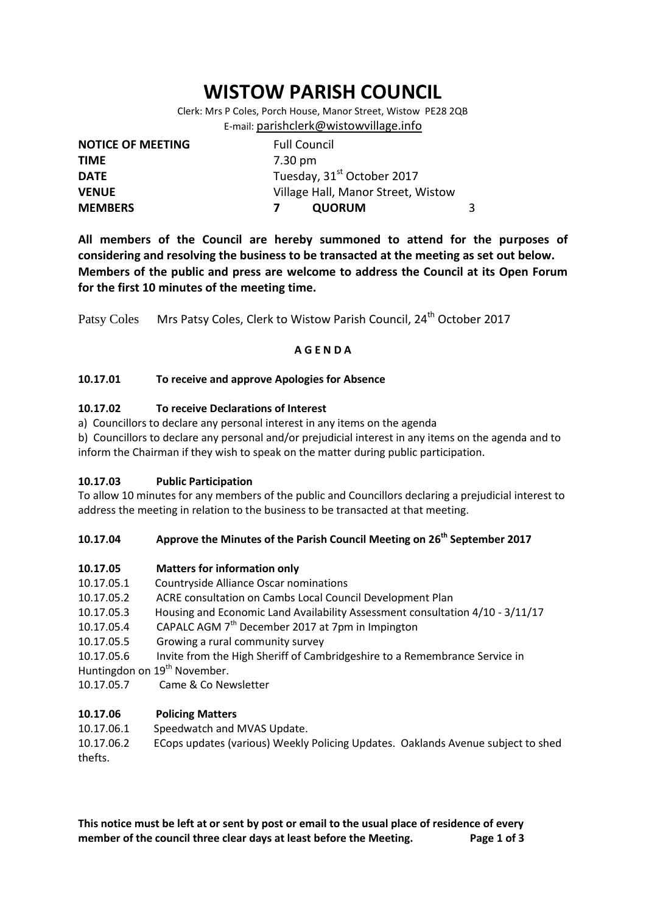# **WISTOW PARISH COUNCIL**

Clerk: Mrs P Coles, Porch House, Manor Street, Wistow PE28 2QB E-mail: [parishclerk@wistowvillage.info](mailto:parishclerk@wistowvillage.info)

| <b>NOTICE OF MEETING</b> | <b>Full Council</b>                    |   |
|--------------------------|----------------------------------------|---|
| <b>TIME</b>              | 7.30 pm                                |   |
| <b>DATE</b>              | Tuesday, 31 <sup>st</sup> October 2017 |   |
| <b>VENUE</b>             | Village Hall, Manor Street, Wistow     |   |
| <b>MEMBERS</b>           | <b>QUORUM</b>                          | 3 |

**All members of the Council are hereby summoned to attend for the purposes of considering and resolving the business to be transacted at the meeting as set out below. Members of the public and press are welcome to address the Council at its Open Forum for the first 10 minutes of the meeting time.**

Patsy Coles Mrs Patsy Coles, Clerk to Wistow Parish Council, 24<sup>th</sup> October 2017

## **A G E N D A**

## **10.17.01 To receive and approve Apologies for Absence**

## **10.17.02 To receive Declarations of Interest**

a) Councillors to declare any personal interest in any items on the agenda

b) Councillors to declare any personal and/or prejudicial interest in any items on the agenda and to inform the Chairman if they wish to speak on the matter during public participation.

## **10.17.03 Public Participation**

To allow 10 minutes for any members of the public and Councillors declaring a prejudicial interest to address the meeting in relation to the business to be transacted at that meeting.

## **10.17.04 Approve the Minutes of the Parish Council Meeting on 26 th September 2017**

## **10.17.05 Matters for information only**

- 10.17.05.1 Countryside Alliance Oscar nominations
- 10.17.05.2 ACRE consultation on Cambs Local Council Development Plan
- 10.17.05.3 Housing and Economic Land Availability Assessment consultation 4/10 3/11/17
- 10.17.05.4 CAPALC AGM  $7<sup>th</sup>$  December 2017 at 7pm in Impington
- 10.17.05.5 Growing a rural community survey
- 10.17.05.6 Invite from the High Sheriff of Cambridgeshire to a Remembrance Service in
- Huntingdon on 19<sup>th</sup> November.
- 10.17.05.7 Came & Co Newsletter

## **10.17.06 Policing Matters**

10.17.06.1 Speedwatch and MVAS Update.

10.17.06.2 ECops updates (various) Weekly Policing Updates. Oaklands Avenue subject to shed thefts.

**This notice must be left at or sent by post or email to the usual place of residence of every member of the council three clear days at least before the Meeting. Page 1 of 3**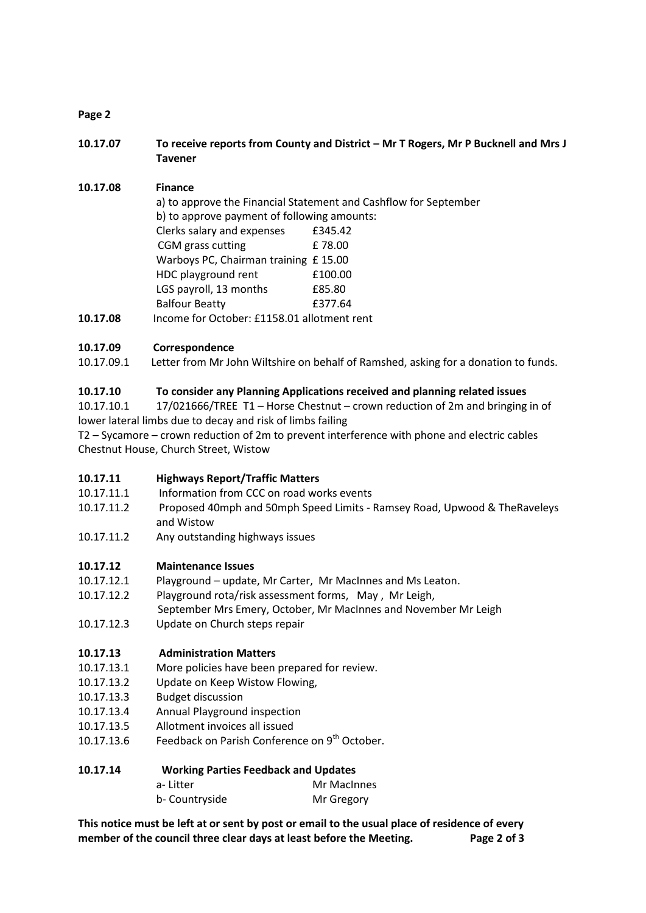# **Page 2**

**10.17.07 To receive reports from County and District – Mr T Rogers, Mr P Bucknell and Mrs J Tavener**

# **10.17.08 Finance**

|                                      | a) to approve the Financial Statement and Cashflow for September |                                             |  |  |
|--------------------------------------|------------------------------------------------------------------|---------------------------------------------|--|--|
|                                      |                                                                  | b) to approve payment of following amounts: |  |  |
|                                      | Clerks salary and expenses                                       | £345.42                                     |  |  |
|                                      | CGM grass cutting                                                | £78.00                                      |  |  |
| Warboys PC, Chairman training £15.00 |                                                                  |                                             |  |  |
|                                      | HDC playground rent                                              | £100.00                                     |  |  |
|                                      | LGS payroll, 13 months                                           | £85.80                                      |  |  |
|                                      | <b>Balfour Beatty</b>                                            | £377.64                                     |  |  |
| 10.17.08                             | Income for October: £1158.01 allotment rent                      |                                             |  |  |

# **10.17.09 Correspondence**

10.17.09.1 Letter from Mr John Wiltshire on behalf of Ramshed, asking for a donation to funds.

# **10.17.10 To consider any Planning Applications received and planning related issues**

10.17.10.1 17/021666/TREE T1 – Horse Chestnut – crown reduction of 2m and bringing in of lower lateral limbs due to decay and risk of limbs failing

T2 – Sycamore – crown reduction of 2m to prevent interference with phone and electric cables Chestnut House, Church Street, Wistow

## **10.17.11 Highways Report/Traffic Matters**

- 10.17.11.1 Information from CCC on road works events
- 10.17.11.2 Proposed 40mph and 50mph Speed Limits Ramsey Road, Upwood & TheRaveleys and Wistow
- 10.17.11.2 Any outstanding highways issues

## **10.17.12 Maintenance Issues**

- 10.17.12.1 Playground update, Mr Carter, Mr MacInnes and Ms Leaton.
- 10.17.12.2 Playground rota/risk assessment forms, May , Mr Leigh,
- September Mrs Emery, October, Mr MacInnes and November Mr Leigh
- 10.17.12.3 Update on Church steps repair

# **10.17.13 Administration Matters**

- 10.17.13.1 More policies have been prepared for review.
- 10.17.13.2 Update on Keep Wistow Flowing,
- 10.17.13.3 Budget discussion
- 10.17.13.4 Annual Playground inspection
- 10.17.13.5 Allotment invoices all issued
- 10.17.13.6 Feedback on Parish Conference on 9<sup>th</sup> October.

## **10.17.14 Working Parties Feedback and Updates**

| a-Litter |                | Mr MacInnes |
|----------|----------------|-------------|
|          | b- Countryside | Mr Gregory  |

**This notice must be left at or sent by post or email to the usual place of residence of every member of the council three clear days at least before the Meeting. Page 2 of 3**